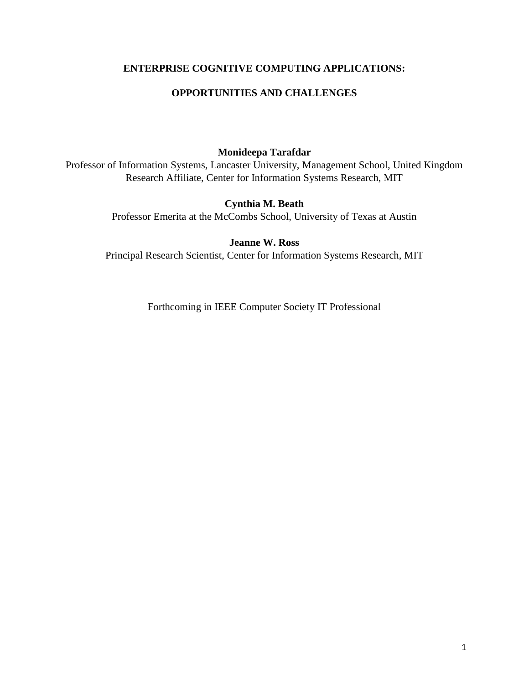# **ENTERPRISE COGNITIVE COMPUTING APPLICATIONS:**

# **OPPORTUNITIES AND CHALLENGES**

# **Monideepa Tarafdar**

Professor of Information Systems, Lancaster University, Management School, United Kingdom Research Affiliate, Center for Information Systems Research, MIT

# **Cynthia M. Beath**

Professor Emerita at the McCombs School, University of Texas at Austin

**Jeanne W. Ross**

Principal Research Scientist, Center for Information Systems Research, MIT

Forthcoming in IEEE Computer Society IT Professional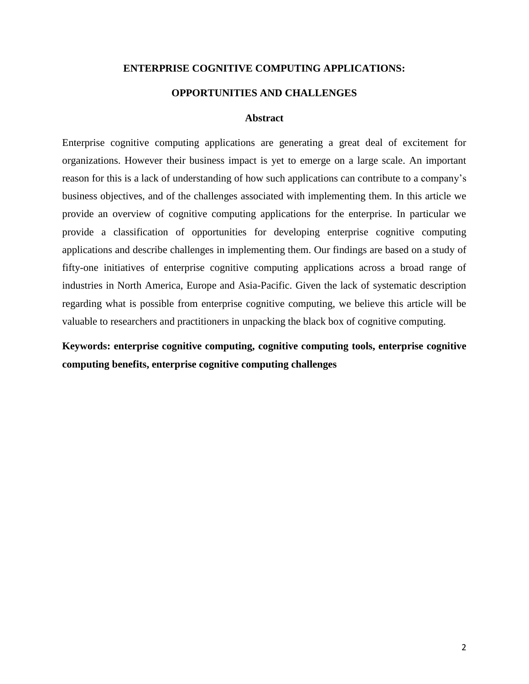## **ENTERPRISE COGNITIVE COMPUTING APPLICATIONS:**

# **OPPORTUNITIES AND CHALLENGES**

## **Abstract**

Enterprise cognitive computing applications are generating a great deal of excitement for organizations. However their business impact is yet to emerge on a large scale. An important reason for this is a lack of understanding of how such applications can contribute to a company's business objectives, and of the challenges associated with implementing them. In this article we provide an overview of cognitive computing applications for the enterprise. In particular we provide a classification of opportunities for developing enterprise cognitive computing applications and describe challenges in implementing them. Our findings are based on a study of fifty-one initiatives of enterprise cognitive computing applications across a broad range of industries in North America, Europe and Asia-Pacific. Given the lack of systematic description regarding what is possible from enterprise cognitive computing, we believe this article will be valuable to researchers and practitioners in unpacking the black box of cognitive computing.

**Keywords: enterprise cognitive computing, cognitive computing tools, enterprise cognitive computing benefits, enterprise cognitive computing challenges**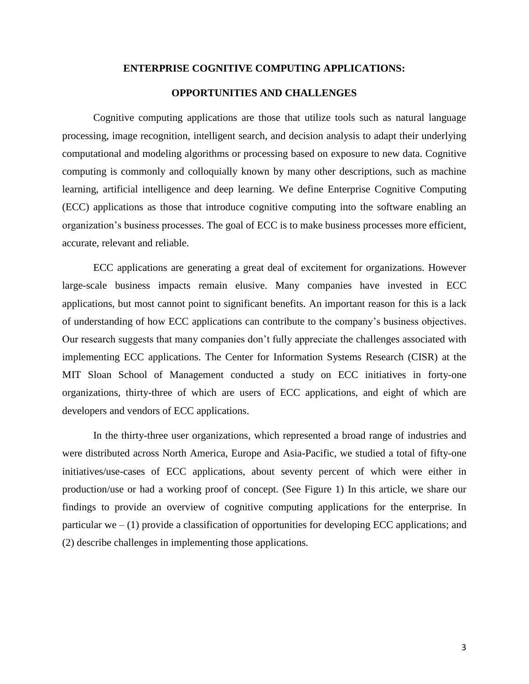### **ENTERPRISE COGNITIVE COMPUTING APPLICATIONS:**

# **OPPORTUNITIES AND CHALLENGES**

Cognitive computing applications are those that utilize tools such as natural language processing, image recognition, intelligent search, and decision analysis to adapt their underlying computational and modeling algorithms or processing based on exposure to new data. Cognitive computing is commonly and colloquially known by many other descriptions, such as machine learning, artificial intelligence and deep learning. We define Enterprise Cognitive Computing (ECC) applications as those that introduce cognitive computing into the software enabling an organization's business processes. The goal of ECC is to make business processes more efficient, accurate, relevant and reliable.

ECC applications are generating a great deal of excitement for organizations. However large-scale business impacts remain elusive. Many companies have invested in ECC applications, but most cannot point to significant benefits. An important reason for this is a lack of understanding of how ECC applications can contribute to the company's business objectives. Our research suggests that many companies don't fully appreciate the challenges associated with implementing ECC applications. The Center for Information Systems Research (CISR) at the MIT Sloan School of Management conducted a study on ECC initiatives in forty-one organizations, thirty-three of which are users of ECC applications, and eight of which are developers and vendors of ECC applications.

In the thirty-three user organizations, which represented a broad range of industries and were distributed across North America, Europe and Asia-Pacific, we studied a total of fifty-one initiatives/use-cases of ECC applications, about seventy percent of which were either in production/use or had a working proof of concept. (See Figure 1) In this article, we share our findings to provide an overview of cognitive computing applications for the enterprise. In particular we  $- (1)$  provide a classification of opportunities for developing ECC applications; and (2) describe challenges in implementing those applications.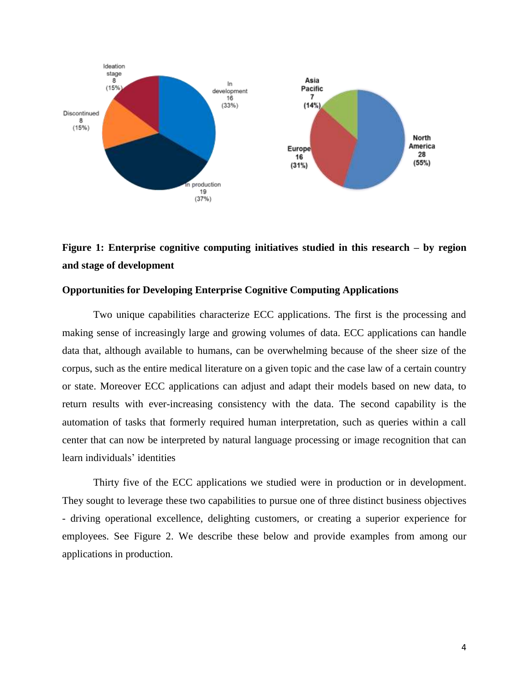



# **Opportunities for Developing Enterprise Cognitive Computing Applications**

Two unique capabilities characterize ECC applications. The first is the processing and making sense of increasingly large and growing volumes of data. ECC applications can handle data that, although available to humans, can be overwhelming because of the sheer size of the corpus, such as the entire medical literature on a given topic and the case law of a certain country or state. Moreover ECC applications can adjust and adapt their models based on new data, to return results with ever-increasing consistency with the data. The second capability is the automation of tasks that formerly required human interpretation, such as queries within a call center that can now be interpreted by natural language processing or image recognition that can learn individuals' identities

Thirty five of the ECC applications we studied were in production or in development. They sought to leverage these two capabilities to pursue one of three distinct business objectives - driving operational excellence, delighting customers, or creating a superior experience for employees. See Figure 2. We describe these below and provide examples from among our applications in production.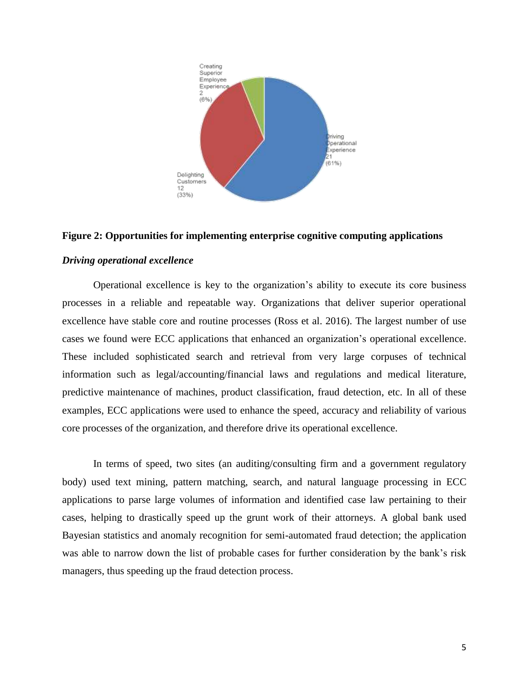

### **Figure 2: Opportunities for implementing enterprise cognitive computing applications**

## *Driving operational excellence*

Operational excellence is key to the organization's ability to execute its core business processes in a reliable and repeatable way. Organizations that deliver superior operational excellence have stable core and routine processes (Ross et al. 2016). The largest number of use cases we found were ECC applications that enhanced an organization's operational excellence. These included sophisticated search and retrieval from very large corpuses of technical information such as legal/accounting/financial laws and regulations and medical literature, predictive maintenance of machines, product classification, fraud detection, etc. In all of these examples, ECC applications were used to enhance the speed, accuracy and reliability of various core processes of the organization, and therefore drive its operational excellence.

In terms of speed, two sites (an auditing/consulting firm and a government regulatory body) used text mining, pattern matching, search, and natural language processing in ECC applications to parse large volumes of information and identified case law pertaining to their cases, helping to drastically speed up the grunt work of their attorneys. A global bank used Bayesian statistics and anomaly recognition for semi-automated fraud detection; the application was able to narrow down the list of probable cases for further consideration by the bank's risk managers, thus speeding up the fraud detection process.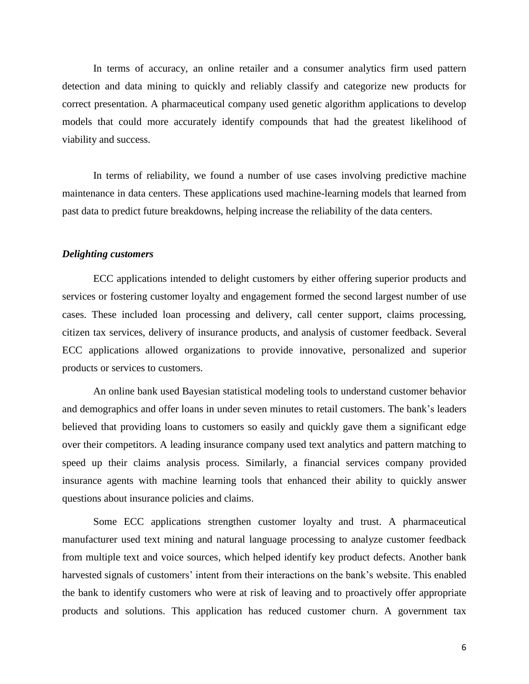In terms of accuracy, an online retailer and a consumer analytics firm used pattern detection and data mining to quickly and reliably classify and categorize new products for correct presentation. A pharmaceutical company used genetic algorithm applications to develop models that could more accurately identify compounds that had the greatest likelihood of viability and success.

In terms of reliability, we found a number of use cases involving predictive machine maintenance in data centers. These applications used machine-learning models that learned from past data to predict future breakdowns, helping increase the reliability of the data centers.

#### *Delighting customers*

ECC applications intended to delight customers by either offering superior products and services or fostering customer loyalty and engagement formed the second largest number of use cases. These included loan processing and delivery, call center support, claims processing, citizen tax services, delivery of insurance products, and analysis of customer feedback. Several ECC applications allowed organizations to provide innovative, personalized and superior products or services to customers.

An online bank used Bayesian statistical modeling tools to understand customer behavior and demographics and offer loans in under seven minutes to retail customers. The bank's leaders believed that providing loans to customers so easily and quickly gave them a significant edge over their competitors. A leading insurance company used text analytics and pattern matching to speed up their claims analysis process. Similarly, a financial services company provided insurance agents with machine learning tools that enhanced their ability to quickly answer questions about insurance policies and claims.

Some ECC applications strengthen customer loyalty and trust. A pharmaceutical manufacturer used text mining and natural language processing to analyze customer feedback from multiple text and voice sources, which helped identify key product defects. Another bank harvested signals of customers' intent from their interactions on the bank's website. This enabled the bank to identify customers who were at risk of leaving and to proactively offer appropriate products and solutions. This application has reduced customer churn. A government tax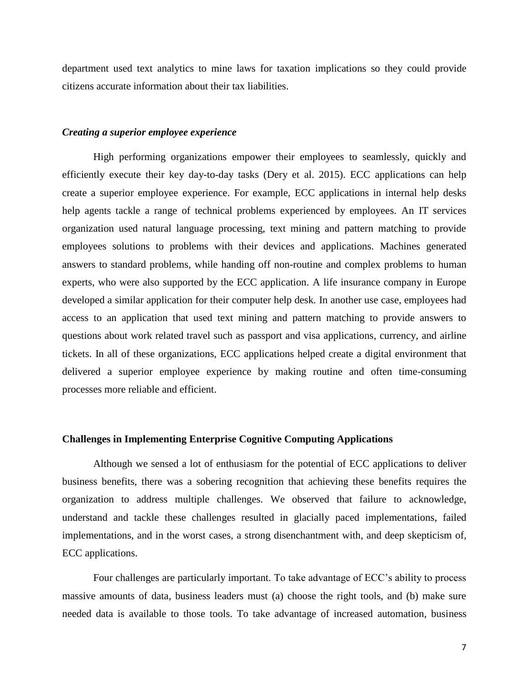department used text analytics to mine laws for taxation implications so they could provide citizens accurate information about their tax liabilities.

## *Creating a superior employee experience*

High performing organizations empower their employees to seamlessly, quickly and efficiently execute their key day-to-day tasks (Dery et al. 2015). ECC applications can help create a superior employee experience. For example, ECC applications in internal help desks help agents tackle a range of technical problems experienced by employees. An IT services organization used natural language processing, text mining and pattern matching to provide employees solutions to problems with their devices and applications. Machines generated answers to standard problems, while handing off non-routine and complex problems to human experts, who were also supported by the ECC application. A life insurance company in Europe developed a similar application for their computer help desk. In another use case, employees had access to an application that used text mining and pattern matching to provide answers to questions about work related travel such as passport and visa applications, currency, and airline tickets. In all of these organizations, ECC applications helped create a digital environment that delivered a superior employee experience by making routine and often time-consuming processes more reliable and efficient.

#### **Challenges in Implementing Enterprise Cognitive Computing Applications**

Although we sensed a lot of enthusiasm for the potential of ECC applications to deliver business benefits, there was a sobering recognition that achieving these benefits requires the organization to address multiple challenges. We observed that failure to acknowledge, understand and tackle these challenges resulted in glacially paced implementations, failed implementations, and in the worst cases, a strong disenchantment with, and deep skepticism of, ECC applications.

Four challenges are particularly important. To take advantage of ECC's ability to process massive amounts of data, business leaders must (a) choose the right tools, and (b) make sure needed data is available to those tools. To take advantage of increased automation, business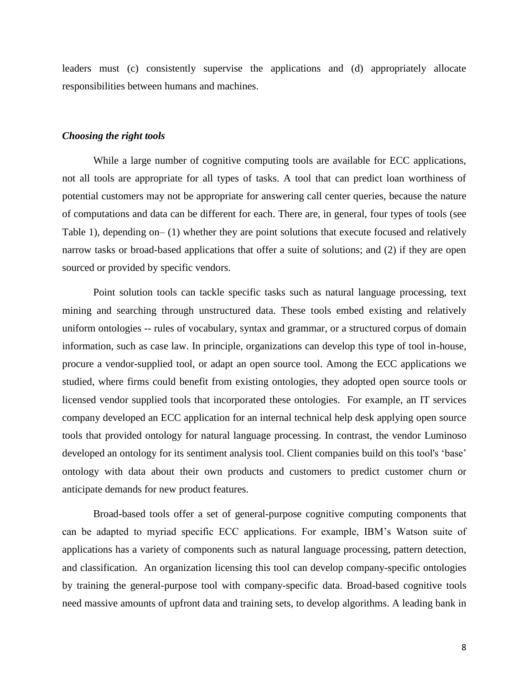leaders must (c) consistently supervise the applications and (d) appropriately allocate responsibilities between humans and machines.

#### *Choosing the right tools*

While a large number of cognitive computing tools are available for ECC applications, not all tools are appropriate for all types of tasks. A tool that can predict loan worthiness of potential customers may not be appropriate for answering call center queries, because the nature of computations and data can be different for each. There are, in general, four types of tools (see Table 1), depending on– (1) whether they are point solutions that execute focused and relatively narrow tasks or broad-based applications that offer a suite of solutions; and (2) if they are open sourced or provided by specific vendors.

Point solution tools can tackle specific tasks such as natural language processing, text mining and searching through unstructured data. These tools embed existing and relatively uniform ontologies -- rules of vocabulary, syntax and grammar, or a structured corpus of domain information, such as case law. In principle, organizations can develop this type of tool in-house, procure a vendor-supplied tool, or adapt an open source tool. Among the ECC applications we studied, where firms could benefit from existing ontologies, they adopted open source tools or licensed vendor supplied tools that incorporated these ontologies. For example, an IT services company developed an ECC application for an internal technical help desk applying open source tools that provided ontology for natural language processing. In contrast, the vendor Luminoso developed an ontology for its sentiment analysis tool. Client companies build on this tool's 'base' ontology with data about their own products and customers to predict customer churn or anticipate demands for new product features.

Broad-based tools offer a set of general-purpose cognitive computing components that can be adapted to myriad specific ECC applications. For example, IBM's Watson suite of applications has a variety of components such as natural language processing, pattern detection, and classification. An organization licensing this tool can develop company-specific ontologies by training the general-purpose tool with company-specific data. Broad-based cognitive tools need massive amounts of upfront data and training sets, to develop algorithms. A leading bank in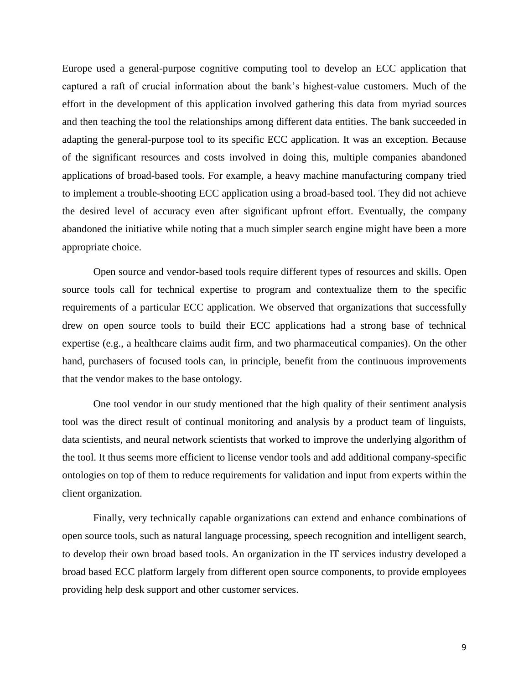Europe used a general-purpose cognitive computing tool to develop an ECC application that captured a raft of crucial information about the bank's highest-value customers. Much of the effort in the development of this application involved gathering this data from myriad sources and then teaching the tool the relationships among different data entities. The bank succeeded in adapting the general-purpose tool to its specific ECC application. It was an exception. Because of the significant resources and costs involved in doing this, multiple companies abandoned applications of broad-based tools. For example, a heavy machine manufacturing company tried to implement a trouble-shooting ECC application using a broad-based tool. They did not achieve the desired level of accuracy even after significant upfront effort. Eventually, the company abandoned the initiative while noting that a much simpler search engine might have been a more appropriate choice.

Open source and vendor-based tools require different types of resources and skills. Open source tools call for technical expertise to program and contextualize them to the specific requirements of a particular ECC application. We observed that organizations that successfully drew on open source tools to build their ECC applications had a strong base of technical expertise (e.g., a healthcare claims audit firm, and two pharmaceutical companies). On the other hand, purchasers of focused tools can, in principle, benefit from the continuous improvements that the vendor makes to the base ontology.

One tool vendor in our study mentioned that the high quality of their sentiment analysis tool was the direct result of continual monitoring and analysis by a product team of linguists, data scientists, and neural network scientists that worked to improve the underlying algorithm of the tool. It thus seems more efficient to license vendor tools and add additional company-specific ontologies on top of them to reduce requirements for validation and input from experts within the client organization.

Finally, very technically capable organizations can extend and enhance combinations of open source tools, such as natural language processing, speech recognition and intelligent search, to develop their own broad based tools. An organization in the IT services industry developed a broad based ECC platform largely from different open source components, to provide employees providing help desk support and other customer services.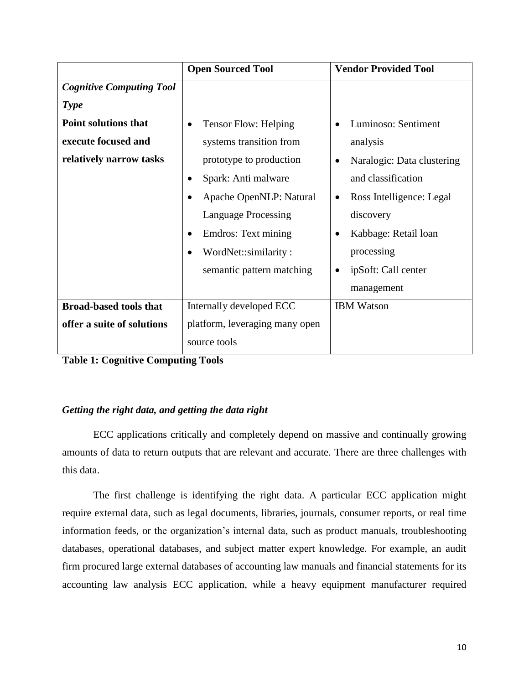|                                 | <b>Open Sourced Tool</b>          | <b>Vendor Provided Tool</b>             |
|---------------------------------|-----------------------------------|-----------------------------------------|
| <b>Cognitive Computing Tool</b> |                                   |                                         |
| <b>Type</b>                     |                                   |                                         |
| <b>Point solutions that</b>     | Tensor Flow: Helping<br>$\bullet$ | Luminoso: Sentiment<br>$\bullet$        |
| execute focused and             | systems transition from           | analysis                                |
| relatively narrow tasks         | prototype to production           | Naralogic: Data clustering<br>$\bullet$ |
|                                 | Spark: Anti malware               | and classification                      |
|                                 | Apache OpenNLP: Natural           | Ross Intelligence: Legal<br>$\bullet$   |
|                                 | <b>Language Processing</b>        | discovery                               |
|                                 | Emdros: Text mining<br>$\bullet$  | Kabbage: Retail loan<br>$\bullet$       |
|                                 | WordNet::similarity:              | processing                              |
|                                 | semantic pattern matching         | ipSoft: Call center<br>$\bullet$        |
|                                 |                                   | management                              |
| <b>Broad-based tools that</b>   | Internally developed ECC          | <b>IBM Watson</b>                       |
| offer a suite of solutions      | platform, leveraging many open    |                                         |
|                                 | source tools                      |                                         |

**Table 1: Cognitive Computing Tools**

# *Getting the right data, and getting the data right*

ECC applications critically and completely depend on massive and continually growing amounts of data to return outputs that are relevant and accurate. There are three challenges with this data.

The first challenge is identifying the right data. A particular ECC application might require external data, such as legal documents, libraries, journals, consumer reports, or real time information feeds, or the organization's internal data, such as product manuals, troubleshooting databases, operational databases, and subject matter expert knowledge. For example, an audit firm procured large external databases of accounting law manuals and financial statements for its accounting law analysis ECC application, while a heavy equipment manufacturer required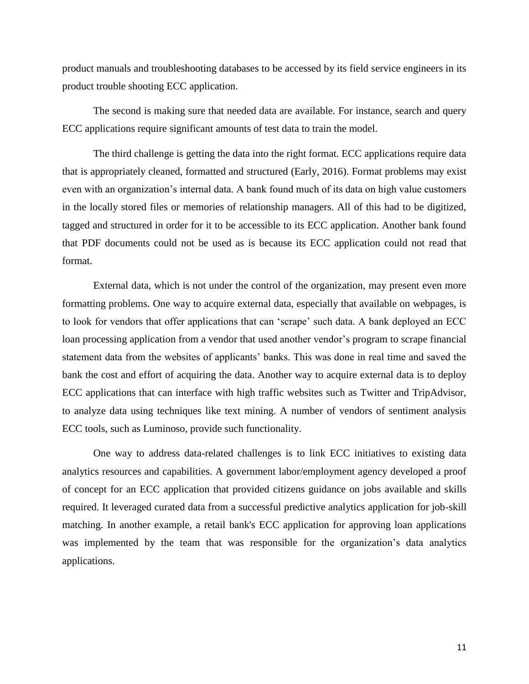product manuals and troubleshooting databases to be accessed by its field service engineers in its product trouble shooting ECC application.

The second is making sure that needed data are available. For instance, search and query ECC applications require significant amounts of test data to train the model.

The third challenge is getting the data into the right format. ECC applications require data that is appropriately cleaned, formatted and structured (Early, 2016). Format problems may exist even with an organization's internal data. A bank found much of its data on high value customers in the locally stored files or memories of relationship managers. All of this had to be digitized, tagged and structured in order for it to be accessible to its ECC application. Another bank found that PDF documents could not be used as is because its ECC application could not read that format.

External data, which is not under the control of the organization, may present even more formatting problems. One way to acquire external data, especially that available on webpages, is to look for vendors that offer applications that can 'scrape' such data. A bank deployed an ECC loan processing application from a vendor that used another vendor's program to scrape financial statement data from the websites of applicants' banks. This was done in real time and saved the bank the cost and effort of acquiring the data. Another way to acquire external data is to deploy ECC applications that can interface with high traffic websites such as Twitter and TripAdvisor, to analyze data using techniques like text mining. A number of vendors of sentiment analysis ECC tools, such as Luminoso, provide such functionality.

One way to address data-related challenges is to link ECC initiatives to existing data analytics resources and capabilities. A government labor/employment agency developed a proof of concept for an ECC application that provided citizens guidance on jobs available and skills required. It leveraged curated data from a successful predictive analytics application for job-skill matching. In another example, a retail bank's ECC application for approving loan applications was implemented by the team that was responsible for the organization's data analytics applications.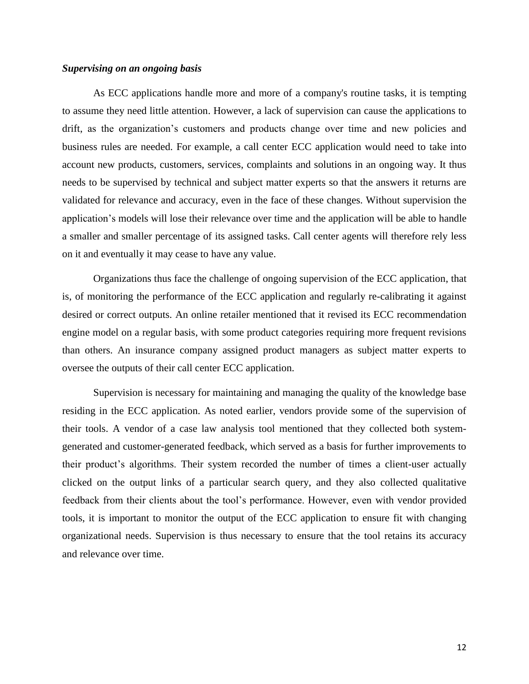# *Supervising on an ongoing basis*

As ECC applications handle more and more of a company's routine tasks, it is tempting to assume they need little attention. However, a lack of supervision can cause the applications to drift, as the organization's customers and products change over time and new policies and business rules are needed. For example, a call center ECC application would need to take into account new products, customers, services, complaints and solutions in an ongoing way. It thus needs to be supervised by technical and subject matter experts so that the answers it returns are validated for relevance and accuracy, even in the face of these changes. Without supervision the application's models will lose their relevance over time and the application will be able to handle a smaller and smaller percentage of its assigned tasks. Call center agents will therefore rely less on it and eventually it may cease to have any value.

Organizations thus face the challenge of ongoing supervision of the ECC application, that is, of monitoring the performance of the ECC application and regularly re-calibrating it against desired or correct outputs. An online retailer mentioned that it revised its ECC recommendation engine model on a regular basis, with some product categories requiring more frequent revisions than others. An insurance company assigned product managers as subject matter experts to oversee the outputs of their call center ECC application.

Supervision is necessary for maintaining and managing the quality of the knowledge base residing in the ECC application. As noted earlier, vendors provide some of the supervision of their tools. A vendor of a case law analysis tool mentioned that they collected both systemgenerated and customer-generated feedback, which served as a basis for further improvements to their product's algorithms. Their system recorded the number of times a client-user actually clicked on the output links of a particular search query, and they also collected qualitative feedback from their clients about the tool's performance. However, even with vendor provided tools, it is important to monitor the output of the ECC application to ensure fit with changing organizational needs. Supervision is thus necessary to ensure that the tool retains its accuracy and relevance over time.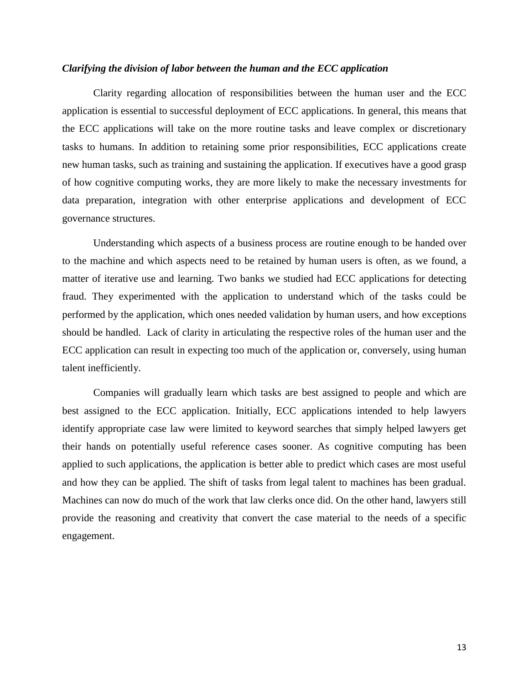## *Clarifying the division of labor between the human and the ECC application*

Clarity regarding allocation of responsibilities between the human user and the ECC application is essential to successful deployment of ECC applications. In general, this means that the ECC applications will take on the more routine tasks and leave complex or discretionary tasks to humans. In addition to retaining some prior responsibilities, ECC applications create new human tasks, such as training and sustaining the application. If executives have a good grasp of how cognitive computing works, they are more likely to make the necessary investments for data preparation, integration with other enterprise applications and development of ECC governance structures.

Understanding which aspects of a business process are routine enough to be handed over to the machine and which aspects need to be retained by human users is often, as we found, a matter of iterative use and learning. Two banks we studied had ECC applications for detecting fraud. They experimented with the application to understand which of the tasks could be performed by the application, which ones needed validation by human users, and how exceptions should be handled. Lack of clarity in articulating the respective roles of the human user and the ECC application can result in expecting too much of the application or, conversely, using human talent inefficiently.

Companies will gradually learn which tasks are best assigned to people and which are best assigned to the ECC application. Initially, ECC applications intended to help lawyers identify appropriate case law were limited to keyword searches that simply helped lawyers get their hands on potentially useful reference cases sooner. As cognitive computing has been applied to such applications, the application is better able to predict which cases are most useful and how they can be applied. The shift of tasks from legal talent to machines has been gradual. Machines can now do much of the work that law clerks once did. On the other hand, lawyers still provide the reasoning and creativity that convert the case material to the needs of a specific engagement.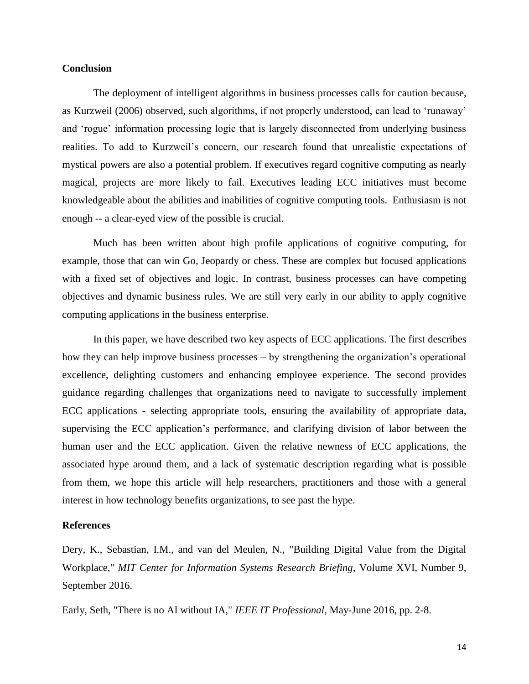# **Conclusion**

The deployment of intelligent algorithms in business processes calls for caution because, as Kurzweil (2006) observed, such algorithms, if not properly understood, can lead to 'runaway' and 'rogue' information processing logic that is largely disconnected from underlying business realities. To add to Kurzweil's concern, our research found that unrealistic expectations of mystical powers are also a potential problem. If executives regard cognitive computing as nearly magical, projects are more likely to fail. Executives leading ECC initiatives must become knowledgeable about the abilities and inabilities of cognitive computing tools. Enthusiasm is not enough -- a clear-eyed view of the possible is crucial.

Much has been written about high profile applications of cognitive computing, for example, those that can win Go, Jeopardy or chess. These are complex but focused applications with a fixed set of objectives and logic. In contrast, business processes can have competing objectives and dynamic business rules. We are still very early in our ability to apply cognitive computing applications in the business enterprise.

In this paper, we have described two key aspects of ECC applications. The first describes how they can help improve business processes – by strengthening the organization's operational excellence, delighting customers and enhancing employee experience. The second provides guidance regarding challenges that organizations need to navigate to successfully implement ECC applications - selecting appropriate tools, ensuring the availability of appropriate data, supervising the ECC application's performance, and clarifying division of labor between the human user and the ECC application. Given the relative newness of ECC applications, the associated hype around them, and a lack of systematic description regarding what is possible from them, we hope this article will help researchers, practitioners and those with a general interest in how technology benefits organizations, to see past the hype.

## **References**

Dery, K., Sebastian, I.M., and van del Meulen, N., "Building Digital Value from the Digital Workplace," *MIT Center for Information Systems Research Briefing*, Volume XVI, Number 9, September 2016.

Early, Seth, "There is no AI without IA," *IEEE IT Professional*, May-June 2016, pp. 2-8.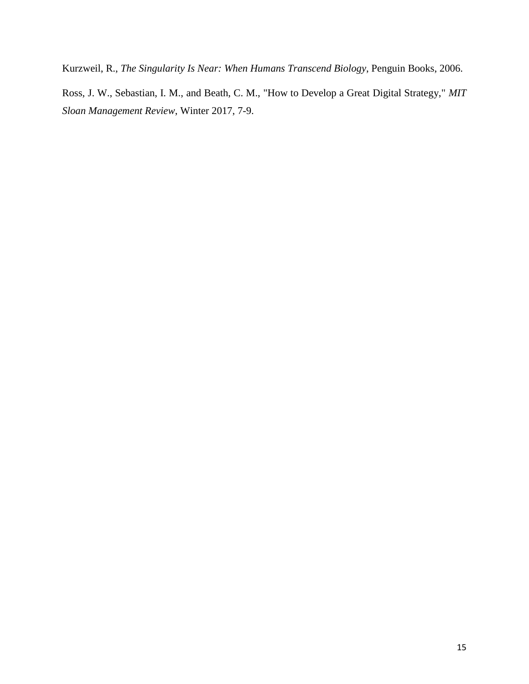Kurzweil, R., *The Singularity Is Near: When Humans Transcend Biology*, Penguin Books, 2006.

Ross, J. W., Sebastian, I. M., and Beath, C. M., "How to Develop a Great Digital Strategy," *MIT Sloan Management Review*, Winter 2017, 7-9.